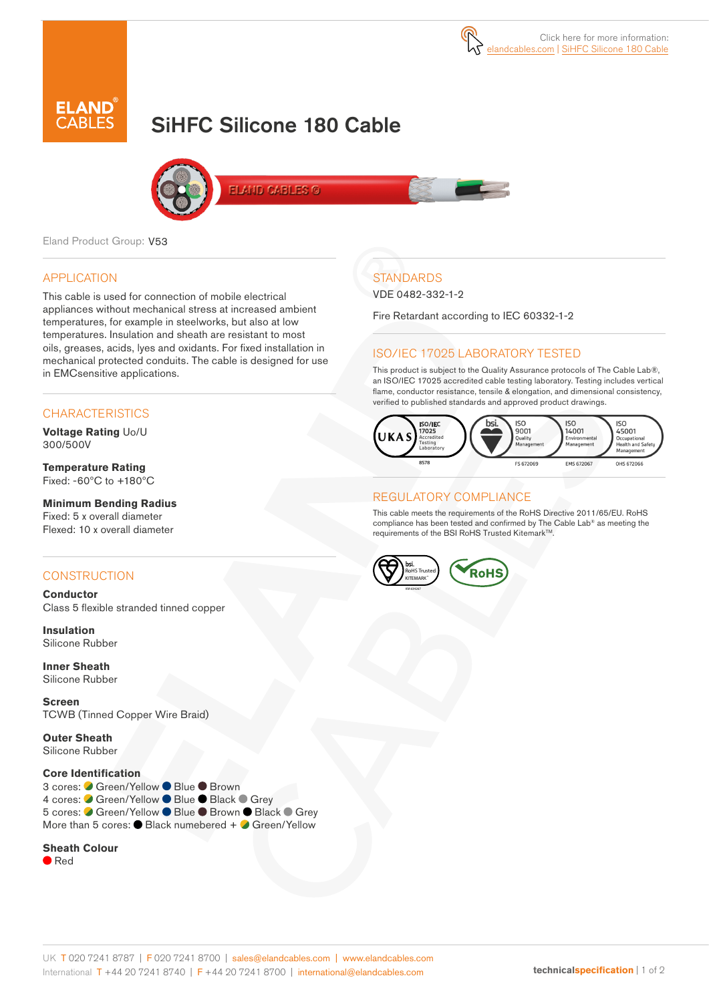

# SiHFC Silicone 180 Cable



**ELAND CABLES G** 

Eland Product Group: V53

# APPLICATION

This cable is used for connection of mobile electrical appliances without mechanical stress at increased ambient temperatures, for example in steelworks, but also at low temperatures. Insulation and sheath are resistant to most oils, greases, acids, lyes and oxidants. For fixed installation in mechanical protected conduits. The cable is designed for use in EMCsensitive applications.

# **CHARACTERISTICS**

**Voltage Rating** Uo/U 300/500V

**Temperature Rating** Fixed: -60ºC to +180ºC

# **Minimum Bending Radius**

Fixed: 5 x overall diameter Flexed: 10 x overall diameter

# **CONSTRUCTION**

**Conductor** Class 5 flexible stranded tinned copper

**Insulation** Silicone Rubber

**Inner Sheath** Silicone Rubber

**Screen** TCWB (Tinned Copper Wire Braid)

**Outer Sheath** Silicone Rubber

## **Core Identification**

3 cores: ● Green/Yellow ● Blue ● Brown 4 cores: ● Green/Yellow ● Blue ● Black ● Grey 5 cores: ● Green/Yellow ● Blue ● Brown ● Black ● Grey More than 5 cores: Black numebered + Green/Yellow

#### **Sheath Colour**

Red

# **STANDARDS**

VDE 0482-332-1-2

Fire Retardant according to IEC 60332-1-2

# ISO/IEC 17025 LABORATORY TESTED

This product is subject to the Quality Assurance protocols of The Cable Lab®, an ISO/IEC 17025 accredited cable testing laboratory. Testing includes vertical flame, conductor resistance, tensile & elongation, and dimensional consistency, verified to published standards and approved product drawings.



## REGULATORY COMPLIANCE

This cable meets the requirements of the RoHS Directive 2011/65/EU. RoHS compliance has been tested and confirmed by The Cable Lab® as meeting the requirements of the BSI RoHS Trusted Kitemark™